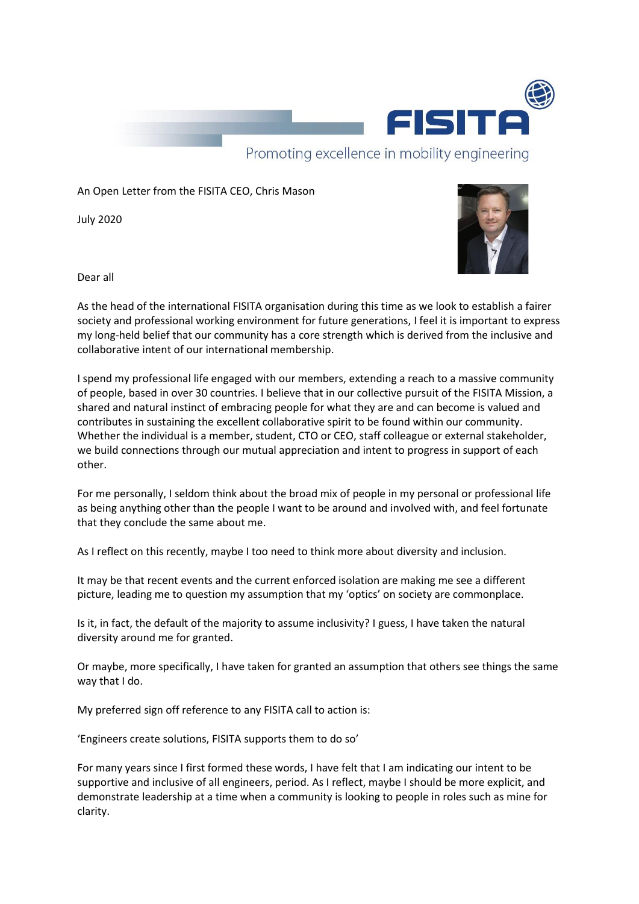

An Open Letter from the FISITA CEO, Chris Mason

July 2020



Dear all

As the head of the international FISITA organisation during this time as we look to establish a fairer society and professional working environment for future generations, I feel it is important to express my long-held belief that our community has a core strength which is derived from the inclusive and collaborative intent of our international membership.

I spend my professional life engaged with our members, extending a reach to a massive community of people, based in over 30 countries. I believe that in our collective pursuit of the FISITA Mission, a shared and natural instinct of embracing people for what they are and can become is valued and contributes in sustaining the excellent collaborative spirit to be found within our community. Whether the individual is a member, student, CTO or CEO, staff colleague or external stakeholder, we build connections through our mutual appreciation and intent to progress in support of each other.

For me personally, I seldom think about the broad mix of people in my personal or professional life as being anything other than the people I want to be around and involved with, and feel fortunate that they conclude the same about me.

As I reflect on this recently, maybe I too need to think more about diversity and inclusion.

It may be that recent events and the current enforced isolation are making me see a different picture, leading me to question my assumption that my 'optics' on society are commonplace.

Is it, in fact, the default of the majority to assume inclusivity? I guess, I have taken the natural diversity around me for granted.

Or maybe, more specifically, I have taken for granted an assumption that others see things the same way that I do.

My preferred sign off reference to any FISITA call to action is:

'Engineers create solutions, FISITA supports them to do so'

For many years since I first formed these words, I have felt that I am indicating our intent to be supportive and inclusive of all engineers, period. As I reflect, maybe I should be more explicit, and demonstrate leadership at a time when a community is looking to people in roles such as mine for clarity.